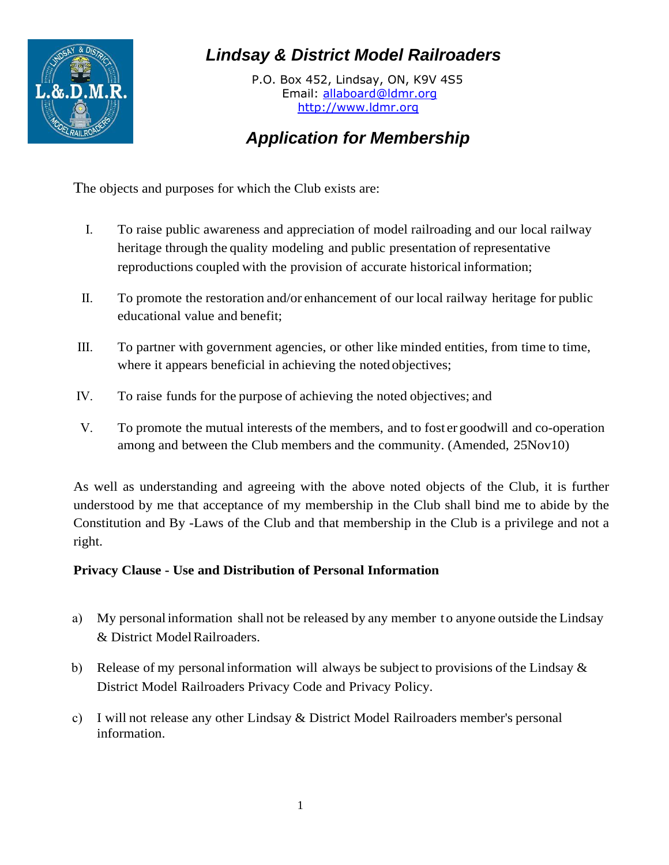

## *Lindsay & District Model Railroaders*

P.O. Box 452, Lindsay, ON, K9V 4S5 Email: [allaboard@ldmr.org](mailto:allaboard@ldmr.org) [http://www.ldmr.org](http://www.ldmr.org/)

## *Application for Membership*

The objects and purposes for which the Club exists are:

- I. To raise public awareness and appreciation of model railroading and our local railway heritage through the quality modeling and public presentation of representative reproductions coupled with the provision of accurate historical information;
- II. To promote the restoration and/or enhancement of our local railway heritage for public educational value and benefit;
- III. To partner with government agencies, or other like minded entities, from time to time, where it appears beneficial in achieving the noted objectives;
- IV. To raise funds for the purpose of achieving the noted objectives; and
- V. To promote the mutual interests of the members, and to fost er goodwill and co-operation among and between the Club members and the community. (Amended, 25Nov10)

As well as understanding and agreeing with the above noted objects of the Club, it is further understood by me that acceptance of my membership in the Club shall bind me to abide by the Constitution and By -Laws of the Club and that membership in the Club is a privilege and not a right.

## **Privacy Clause - Use and Distribution of Personal Information**

- a) My personal information shall not be released by any member to anyone outside the Lindsay & District Model Railroaders.
- b) Release of my personal information will always be subject to provisions of the Lindsay & District Model Railroaders Privacy Code and Privacy Policy.
- c) I will not release any other Lindsay & District Model Railroaders member's personal information.